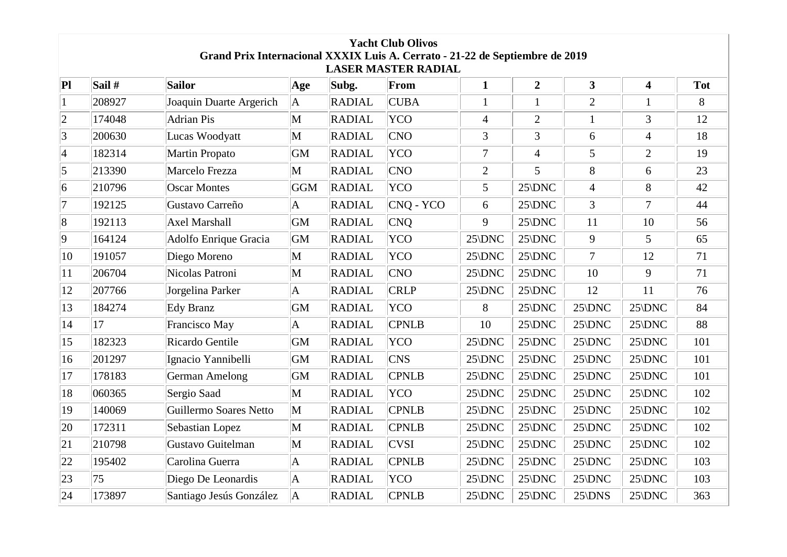| Grand Prix Internacional XXXIX Luis A. Cerrato - 21-22 de Septiembre de 2019<br><b>LASER MASTER RADIAL</b> |          |                         |             |               |              |                 |                 |                 |                         |            |
|------------------------------------------------------------------------------------------------------------|----------|-------------------------|-------------|---------------|--------------|-----------------|-----------------|-----------------|-------------------------|------------|
| Pl                                                                                                         | Sail $#$ | Sailor                  | Age         | Subg.         | From         | $\mathbf{1}$    | $\overline{2}$  | 3               | $\overline{\mathbf{4}}$ | <b>Tot</b> |
| $\mathbf{1}$                                                                                               | 208927   | Joaquin Duarte Argerich | A           | <b>RADIAL</b> | <b>CUBA</b>  | $\mathbf{1}$    | $\mathbf{1}$    | $\overline{2}$  | $\mathbf{1}$            | 8          |
| $ 2\rangle$                                                                                                | 174048   | Adrian Pis              | $\mathbf M$ | <b>RADIAL</b> | <b>YCO</b>   | $\overline{4}$  | $\overline{2}$  | $\mathbf{1}$    | $\mathfrak{Z}$          | 12         |
| 3                                                                                                          | 200630   | Lucas Woodyatt          | M           | RADIAL        | <b>CNO</b>   | 3               | $\overline{3}$  | 6               | $\overline{4}$          | 18         |
| $\vert 4$                                                                                                  | 182314   | Martin Propato          | GM          | RADIAL        | <b>YCO</b>   | $\tau$          | $\overline{4}$  | 5               | $\overline{2}$          | 19         |
| 5                                                                                                          | 213390   | Marcelo Frezza          | M           | <b>RADIAL</b> | <b>CNO</b>   | $\overline{2}$  | 5               | 8               | 6                       | 23         |
| 6                                                                                                          | 210796   | <b>Oscar Montes</b>     | GGM         | RADIAL        | <b>YCO</b>   | 5               | 25\DNC          | $\overline{4}$  | 8                       | 42         |
| 17                                                                                                         | 192125   | Gustavo Carreño         | A           | <b>RADIAL</b> | CNQ - YCO    | 6               | $25\text{/DNC}$ | 3               | $\tau$                  | 44         |
| 8                                                                                                          | 192113   | Axel Marshall           | GM          | RADIAL        | CNO          | 9               | $25\rangle$ DNC | 11              | 10                      | 56         |
| $ 9\rangle$                                                                                                | 164124   | Adolfo Enrique Gracia   | GM          | <b>RADIAL</b> | <b>YCO</b>   | $25\rangle$ DNC | $25\rangle$ DNC | 9               | 5                       | 65         |
| 10                                                                                                         | 191057   | Diego Moreno            | M           | RADIAL        | <b>YCO</b>   | $25\text{DNC}$  | 25\DNC          | $\overline{7}$  | 12                      | 71         |
| 11                                                                                                         | 206704   | Nicolas Patroni         | M           | <b>RADIAL</b> | <b>CNO</b>   | $25\rangle$ DNC | $25\rangle$ DNC | 10              | 9                       | 71         |
| 12                                                                                                         | 207766   | Jorgelina Parker        | A           | <b>RADIAL</b> | <b>CRLP</b>  | $25\text{DNC}$  | $25\text{DNC}$  | 12              | 11                      | 76         |
| $ 13\rangle$                                                                                               | 184274   | Edy Branz               | GM          | RADIAL        | <b>YCO</b>   | 8               | $25\rangle$ DNC | 25\DNC          | 25\DNC                  | 84         |
| 14                                                                                                         | 17       | Francisco May           | A           | <b>RADIAL</b> | <b>CPNLB</b> | 10              | $25\rangle$ DNC | 25\DNC          | $25\rangle$ DNC         | 88         |
| 15                                                                                                         | 182323   | Ricardo Gentile         | GM          | RADIAL        | <b>YCO</b>   | $25\text{DNC}$  | $25\rangle$ DNC | 25\DNC          | $25\rangle$ DNC         | 101        |
| 16                                                                                                         | 201297   | Ignacio Yannibelli      | GM          | RADIAL        | <b>CNS</b>   | $25\rangle$ DNC | $25\rangle$ DNC | 25\DNC          | $25\rangle$ DNC         | 101        |
| 17                                                                                                         | 178183   | <b>German Amelong</b>   | GM          | <b>RADIAL</b> | <b>CPNLB</b> | $25\text{DNC}$  | $25\rangle$ DNC | 25\DNC          | $25\rangle$ DNC         | 101        |
| 18                                                                                                         | 060365   | Sergio Saad             | M           | <b>RADIAL</b> | <b>YCO</b>   | $25\text{/DNC}$ | $25\rangle$ DNC | 25\DNC          | 25\DNC                  | 102        |
| 19                                                                                                         | 140069   | Guillermo Soares Netto  | $\mathbf M$ | <b>RADIAL</b> | <b>CPNLB</b> | $25\text{/DNC}$ | $25\rangle$ DNC | 25\DNC          | $25\text{/DNC}$         | 102        |
| 20                                                                                                         | 172311   | Sebastian Lopez         | M           | RADIAL        | <b>CPNLB</b> | $25\rangle$ DNC | $25\rangle$ DNC | 25\DNC          | $25\rangle$ DNC         | 102        |
| 21                                                                                                         | 210798   | Gustavo Guitelman       | M           | <b>RADIAL</b> | <b>CVSI</b>  | $25\rangle$ DNC | $25\rangle$ DNC | $25\rangle$ DNC | $25\rangle$ DNC         | 102        |
| $ 22\rangle$                                                                                               | 195402   | Carolina Guerra         | A           | <b>RADIAL</b> | <b>CPNLB</b> | $25\rangle$ DNC | $25\rangle$ DNC | 25\DNC          | $25\rangle$ DNC         | 103        |
| 23                                                                                                         | 75       | Diego De Leonardis      | A           | <b>RADIAL</b> | <b>YCO</b>   | $25\rangle$ DNC | $25\rangle$ DNC | 25\DNC          | 25\DNC                  | 103        |
| 24                                                                                                         | 173897   | Santiago Jesús González | A           | <b>RADIAL</b> | <b>CPNLB</b> | $25\text{DNC}$  | $25\text{/DNC}$ | $25$ \DNS       | 25\DNC                  | 363        |

**Yacht Club Olivos**